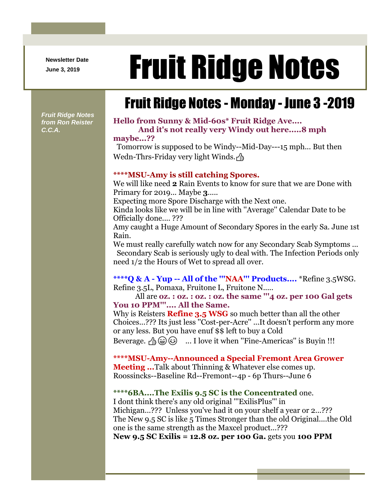**Newsletter Date**

# Newsletter Date **Fruit Ridge Notes**

## Fruit Ridge Notes - Monday - June 3 -2019

*Fruit Ridge Notes from Ron Reister C.C.A.*

#### **Hello from Sunny & Mid-60s\* Fruit Ridge Ave.... And it's not really very Windy out here.....8 mph**

#### **maybe...??**

Tomorrow is supposed to be Windy--Mid-Day---15 mph... But then Wedn-Thrs-Friday very light Winds.

#### **\*\*\*\*MSU-Amy is still catching Spores.**

We will like need **2** Rain Events to know for sure that we are Done with Primary for 2019... Maybe **3**.....

Expecting more Spore Discharge with the Next one.

Kinda looks like we will be in line with ''Average'' Calendar Date to be Officially done.... ???

Amy caught a Huge Amount of Secondary Spores in the early Sa. June 1st Rain.

We must really carefully watch now for any Secondary Scab Symptoms ... Secondary Scab is seriously ugly to deal with. The Infection Periods only need 1/2 the Hours of Wet to spread all over.

**\*\*\*\*Q & A - Yup -- All of the '''NAA''' Products....** \*Refine 3.5WSG. Refine 3.5L, Pomaxa, Fruitone L, Fruitone N.....

All are **oz. : oz. : oz. : oz. the same '''4 oz. per 100 Gal gets You 10 PPM'''.... All the Same.**

Why is Reisters **Refine 3.5 WSG** so much better than all the other Choices...??? Its just less ''Cost-per-Acre'' ...It doesn't perform any more or any less. But you have enuf \$\$ left to buy a Cold

Beverage.  $\triangleq \circledast \circledast$  ... I love it when "Fine-Americas" is Buyin !!!

**\*\*\*\*MSU-Amy--Announced a Special Fremont Area Grower Meeting ...**Talk about Thinning & Whatever else comes up. Roossincks--Baseline Rd--Fremont--4p - 6p Thurs--June 6

#### **\*\*\*\*6BA....The Exilis 9.5 SC is the Concentrated** one.

I dont think there's any old original '''ExilisPlus''' in Michigan...??? Unless you've had it on your shelf a year or 2...??? The New 9.5 SC is like 5 Times Stronger than the old Original....the Old one is the same strength as the Maxcel product...???

**New 9.5 SC Exilis = 12.8 oz. per 100 Ga.** gets you **100 PPM**